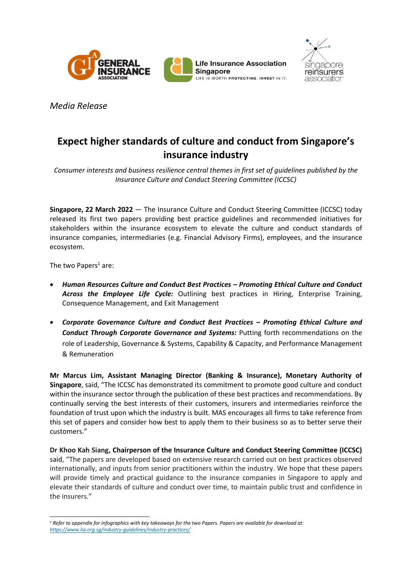





*Media Release*

## **Expect higher standards of culture and conduct from Singapore's insurance industry**

*Consumer interests and business resilience central themes in first set of guidelines published by the Insurance Culture and Conduct Steering Committee (ICCSC)* 

**Singapore, 22 March 2022** — The Insurance Culture and Conduct Steering Committee (ICCSC) today released its first two papers providing best practice guidelines and recommended initiatives for stakeholders within the insurance ecosystem to elevate the culture and conduct standards of insurance companies, intermediaries (e.g. Financial Advisory Firms), employees, and the insurance ecosystem.

The two Papers<sup>1</sup> are:

- *Human Resources Culture and Conduct Best Practices – Promoting Ethical Culture and Conduct Across the Employee Life Cycle:* Outlining best practices in Hiring, Enterprise Training, Consequence Management, and Exit Management
- *Corporate Governance Culture and Conduct Best Practices – Promoting Ethical Culture and Conduct Through Corporate Governance and Systems:* Putting forth recommendations on the role of Leadership, Governance & Systems, Capability & Capacity, and Performance Management & Remuneration

**Mr Marcus Lim, Assistant Managing Director (Banking & Insurance), Monetary Authority of Singapore**, said, "The ICCSC has demonstrated its commitment to promote good culture and conduct within the insurance sector through the publication of these best practices and recommendations. By continually serving the best interests of their customers, insurers and intermediaries reinforce the foundation of trust upon which the industry is built. MAS encourages all firms to take reference from this set of papers and consider how best to apply them to their business so as to better serve their customers."

**Dr Khoo Kah Siang, Chairperson of the Insurance Culture and Conduct Steering Committee (ICCSC)** said, "The papers are developed based on extensive research carried out on best practices observed internationally, and inputs from senior practitioners within the industry. We hope that these papers will provide timely and practical guidance to the insurance companies in Singapore to apply and elevate their standards of culture and conduct over time, to maintain public trust and confidence in the insurers."

*<sup>1</sup> Refer to appendix for infographics with key takeaways for the two Papers. Papers are available for download at: <https://www.lia.org.sg/industry-guidelines/industry-practices/>*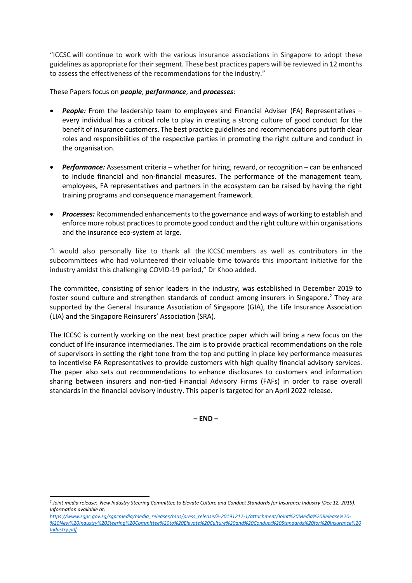"ICCSC will continue to work with the various insurance associations in Singapore to adopt these guidelines as appropriate for their segment. These best practices papers will be reviewed in 12 months to assess the effectiveness of the recommendations for the industry."

These Papers focus on *people*, *performance*, and *processes*:

- *People:* From the leadership team to employees and Financial Adviser (FA) Representatives every individual has a critical role to play in creating a strong culture of good conduct for the benefit of insurance customers. The best practice guidelines and recommendations put forth clear roles and responsibilities of the respective parties in promoting the right culture and conduct in the organisation.
- *Performance:* Assessment criteria whether for hiring, reward, or recognition can be enhanced to include financial and non-financial measures. The performance of the management team, employees, FA representatives and partners in the ecosystem can be raised by having the right training programs and consequence management framework.
- *Processes:* Recommended enhancements to the governance and ways of working to establish and enforce more robust practices to promote good conduct and the right culture within organisations and the insurance eco-system at large.

"I would also personally like to thank all the ICCSC members as well as contributors in the subcommittees who had volunteered their valuable time towards this important initiative for the industry amidst this challenging COVID-19 period," Dr Khoo added.

The committee, consisting of senior leaders in the industry, was established in December 2019 to foster sound culture and strengthen standards of conduct among insurers in Singapore.<sup>2</sup> They are supported by the General Insurance Association of Singapore (GIA), the Life Insurance Association (LIA) and the Singapore Reinsurers' Association (SRA).

The ICCSC is currently working on the next best practice paper which will bring a new focus on the conduct of life insurance intermediaries. The aim is to provide practical recommendations on the role of supervisors in setting the right tone from the top and putting in place key performance measures to incentivise FA Representatives to provide customers with high quality financial advisory services. The paper also sets out recommendations to enhance disclosures to customers and information sharing between insurers and non-tied Financial Advisory Firms (FAFs) in order to raise overall standards in the financial advisory industry. This paper is targeted for an April 2022 release.

**– END –**

*<sup>2</sup> Joint media release: New Industry Steering Committee to Elevate Culture and Conduct Standards for Insurance Industry (Dec 12, 2019). Information available at:* 

*[https://www.sgpc.gov.sg/sgpcmedia/media\\_releases/mas/press\\_release/P-20191212-1/attachment/Joint%20Media%20Release%20-](https://www.sgpc.gov.sg/sgpcmedia/media_releases/mas/press_release/P-20191212-1/attachment/Joint%20Media%20Release%20-%20New%20Industry%20Steering%20Committee%20to%20Elevate%20Culture%20and%20Conduct%20Standards%20for%20Insurance%20Industry.pdf) [%20New%20Industry%20Steering%20Committee%20to%20Elevate%20Culture%20and%20Conduct%20Standards%20for%20Insurance%20](https://www.sgpc.gov.sg/sgpcmedia/media_releases/mas/press_release/P-20191212-1/attachment/Joint%20Media%20Release%20-%20New%20Industry%20Steering%20Committee%20to%20Elevate%20Culture%20and%20Conduct%20Standards%20for%20Insurance%20Industry.pdf) [Industry.pdf](https://www.sgpc.gov.sg/sgpcmedia/media_releases/mas/press_release/P-20191212-1/attachment/Joint%20Media%20Release%20-%20New%20Industry%20Steering%20Committee%20to%20Elevate%20Culture%20and%20Conduct%20Standards%20for%20Insurance%20Industry.pdf)*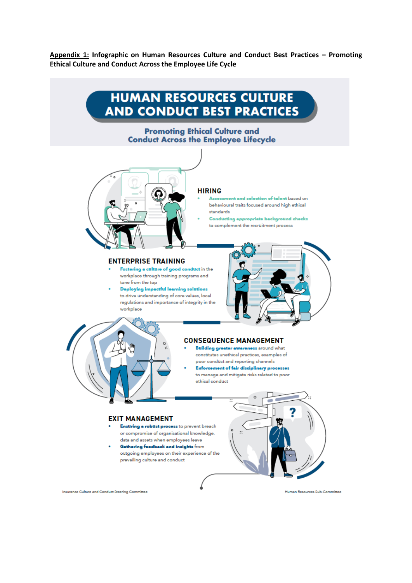**Appendix 1: Infographic on Human Resources Culture and Conduct Best Practices – Promoting Ethical Culture and Conduct Across the Employee Life Cycle**

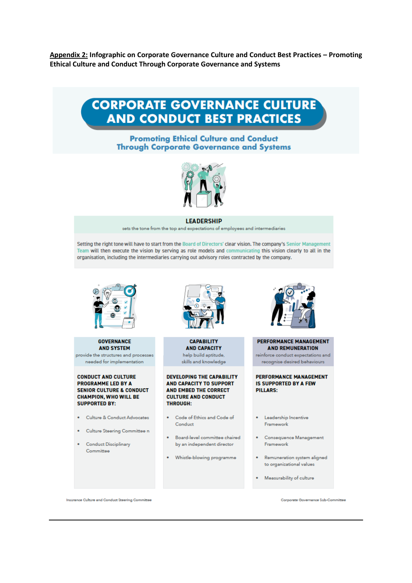Appendix 2: Infographic on Corporate Governance Culture and Conduct Best Practices - Promoting Ethical Culture and Conduct Through Corporate Governance and Systems

# **CORPORATE GOVERNANCE CULTURE AND CONDUCT BEST PRACTICES**

**Promoting Ethical Culture and Conduct Through Corporate Governance and Systems** 



#### **LEADERSHIP**

sets the tone from the top and expectations of employees and intermediaries

Setting the right tone will have to start from the Board of Directors' clear vision. The company's Senior Management Team will then execute the vision by serving as role models and communicating this vision clearly to all in the organisation, including the intermediaries carrying out advisory roles contracted by the company.



#### **COVEDNANCE AND SYSTEM** provide the structures and processes

needed for implementation

#### **CONDUCT AND CULTURE PROGRAMME LED BY A SENIOR CULTURE & CONDUCT CHAMPION, WHO WILL BE SUPPORTED BY:**

- · Culture & Conduct Advocates
- · Culture Steering Committee n
- **Conduct Disciplinary** Committee



#### **CADARILITY AND CAPACITY** help build aptitude. skills and knowledge

**DEVELOPING THE CAPABILITY AND CAPACITY TO SUPPORT AND EMBED THE CORRECT CULTURE AND CONDUCT THROUGH:** 

- . Code of Ethics and Code of Conduct
- . Board-level committee chaired by an independent director
- . Whistle-blowing programme



#### PERFORMANCE MANAGEMENT **AND REMUNERATION**

reinforce conduct expectations and recognise desired behaviours

PERFORMANCE MANAGEMENT **IS SUPPORTED BY A FEW PILLARS:** 

- · Leadership Incentive Framework
- Consequence Management Framework
- · Remuneration system aligned to organizational values
- Measurability of culture

Insurance Culture and Conduct Steering Committee

Corporate Governance Sub-Committee